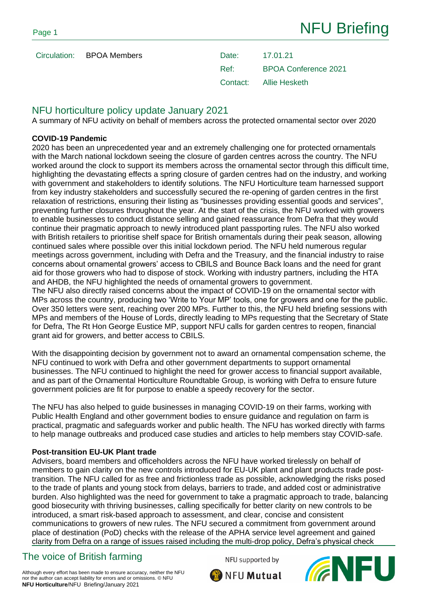Ref: BPOA Conference 2021 Contact: Allie Hesketh

## NFU horticulture policy update January 2021

A summary of NFU activity on behalf of members across the protected ornamental sector over 2020

### **COVID-19 Pandemic**

2020 has been an unprecedented year and an extremely challenging one for protected ornamentals with the March national lockdown seeing the closure of garden centres across the country. The NFU worked around the clock to support its members across the ornamental sector through this difficult time, highlighting the devastating effects a spring closure of garden centres had on the industry, and working with government and stakeholders to identify solutions. The NFU Horticulture team harnessed support from key industry stakeholders and successfully secured the re-opening of garden centres in the first relaxation of restrictions, ensuring their listing as "businesses providing essential goods and services", preventing further closures throughout the year. At the start of the crisis, the NFU worked with growers to enable businesses to conduct distance selling and gained reassurance from Defra that they would continue their pragmatic approach to newly introduced plant passporting rules. The NFU also worked with British retailers to prioritise shelf space for British ornamentals during their peak season, allowing continued sales where possible over this initial lockdown period. The NFU held numerous regular meetings across government, including with Defra and the Treasury, and the financial industry to raise concerns about ornamental growers' access to CBILS and Bounce Back loans and the need for grant aid for those growers who had to dispose of stock. Working with industry partners, including the HTA and AHDB, the NFU highlighted the needs of ornamental growers to government.

The NFU also directly raised concerns about the impact of COVID-19 on the ornamental sector with MPs across the country, producing two 'Write to Your MP' tools, one for growers and one for the public. Over 350 letters were sent, reaching over 200 MPs. Further to this, the NFU held briefing sessions with MPs and members of the House of Lords, directly leading to MPs requesting that the Secretary of State for Defra, The Rt Hon George Eustice MP, support NFU calls for garden centres to reopen, financial grant aid for growers, and better access to CBILS.

With the disappointing decision by government not to award an ornamental compensation scheme, the NFU continued to work with Defra and other government departments to support ornamental businesses. The NFU continued to highlight the need for grower access to financial support available, and as part of the Ornamental Horticulture Roundtable Group, is working with Defra to ensure future government policies are fit for purpose to enable a speedy recovery for the sector.

The NFU has also helped to guide businesses in managing COVID-19 on their farms, working with Public Health England and other government bodies to ensure guidance and regulation on farm is practical, pragmatic and safeguards worker and public health. The NFU has worked directly with farms to help manage outbreaks and produced case studies and articles to help members stay COVID-safe.

### **Post-transition EU-UK Plant trade**

Advisers, board members and officeholders across the NFU have worked tirelessly on behalf of members to gain clarity on the new controls introduced for EU-UK plant and plant products trade posttransition. The NFU called for as free and frictionless trade as possible, acknowledging the risks posed to the trade of plants and young stock from delays, barriers to trade, and added cost or administrative burden. Also highlighted was the need for government to take a pragmatic approach to trade, balancing good biosecurity with thriving businesses, calling specifically for better clarity on new controls to be introduced, a smart risk-based approach to assessment, and clear, concise and consistent communications to growers of new rules. The NFU secured a commitment from government around place of destination (PoD) checks with the release of the APHA service level agreement and gained clarity from Defra on a range of issues raised including the multi-drop policy, Defra's physical check

# The voice of British farming

NFU supported by